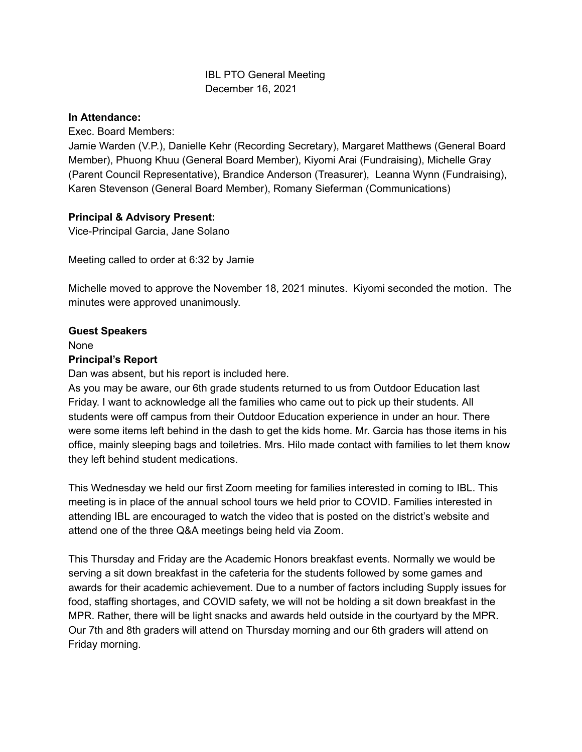# IBL PTO General Meeting December 16, 2021

# **In Attendance:**

Exec. Board Members:

Jamie Warden (V.P.), Danielle Kehr (Recording Secretary), Margaret Matthews (General Board Member), Phuong Khuu (General Board Member), Kiyomi Arai (Fundraising), Michelle Gray (Parent Council Representative), Brandice Anderson (Treasurer), Leanna Wynn (Fundraising), Karen Stevenson (General Board Member), Romany Sieferman (Communications)

# **Principal & Advisory Present:**

Vice-Principal Garcia, Jane Solano

Meeting called to order at 6:32 by Jamie

Michelle moved to approve the November 18, 2021 minutes. Kiyomi seconded the motion. The minutes were approved unanimously.

# **Guest Speakers**

None

## **Principal's Report**

Dan was absent, but his report is included here.

As you may be aware, our 6th grade students returned to us from Outdoor Education last Friday. I want to acknowledge all the families who came out to pick up their students. All students were off campus from their Outdoor Education experience in under an hour. There were some items left behind in the dash to get the kids home. Mr. Garcia has those items in his office, mainly sleeping bags and toiletries. Mrs. Hilo made contact with families to let them know they left behind student medications.

This Wednesday we held our first Zoom meeting for families interested in coming to IBL. This meeting is in place of the annual school tours we held prior to COVID. Families interested in attending IBL are encouraged to watch the video that is posted on the district's website and attend one of the three Q&A meetings being held via Zoom.

This Thursday and Friday are the Academic Honors breakfast events. Normally we would be serving a sit down breakfast in the cafeteria for the students followed by some games and awards for their academic achievement. Due to a number of factors including Supply issues for food, staffing shortages, and COVID safety, we will not be holding a sit down breakfast in the MPR. Rather, there will be light snacks and awards held outside in the courtyard by the MPR. Our 7th and 8th graders will attend on Thursday morning and our 6th graders will attend on Friday morning.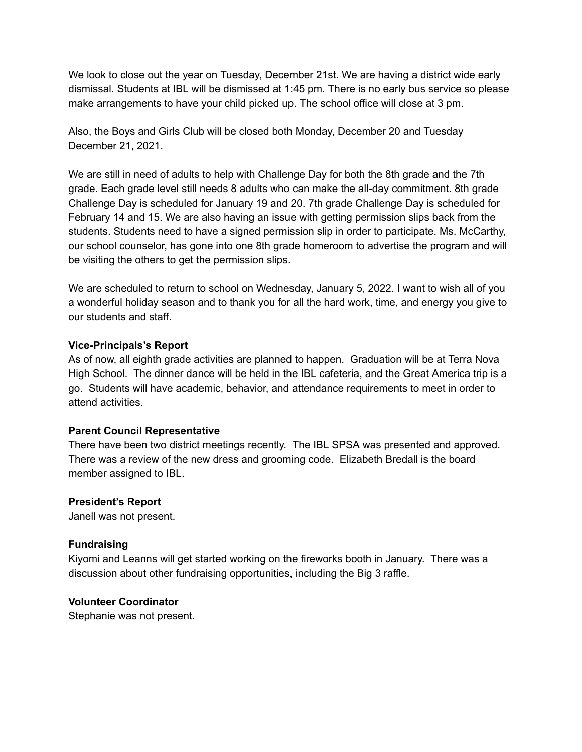We look to close out the year on Tuesday, December 21st. We are having a district wide early dismissal. Students at IBL will be dismissed at 1:45 pm. There is no early bus service so please make arrangements to have your child picked up. The school office will close at 3 pm.

Also, the Boys and Girls Club will be closed both Monday, December 20 and Tuesday December 21, 2021.

We are still in need of adults to help with Challenge Day for both the 8th grade and the 7th grade. Each grade level still needs 8 adults who can make the all-day commitment. 8th grade Challenge Day is scheduled for January 19 and 20. 7th grade Challenge Day is scheduled for February 14 and 15. We are also having an issue with getting permission slips back from the students. Students need to have a signed permission slip in order to participate. Ms. McCarthy, our school counselor, has gone into one 8th grade homeroom to advertise the program and will be visiting the others to get the permission slips.

We are scheduled to return to school on Wednesday, January 5, 2022. I want to wish all of you a wonderful holiday season and to thank you for all the hard work, time, and energy you give to our students and staff.

## **Vice-Principals's Report**

As of now, all eighth grade activities are planned to happen. Graduation will be at Terra Nova High School. The dinner dance will be held in the IBL cafeteria, and the Great America trip is a go. Students will have academic, behavior, and attendance requirements to meet in order to attend activities.

## **Parent Council Representative**

There have been two district meetings recently. The IBL SPSA was presented and approved. There was a review of the new dress and grooming code. Elizabeth Bredall is the board member assigned to IBL.

#### **President's Report**

Janell was not present.

## **Fundraising**

Kiyomi and Leanns will get started working on the fireworks booth in January. There was a discussion about other fundraising opportunities, including the Big 3 raffle.

#### **Volunteer Coordinator**

Stephanie was not present.